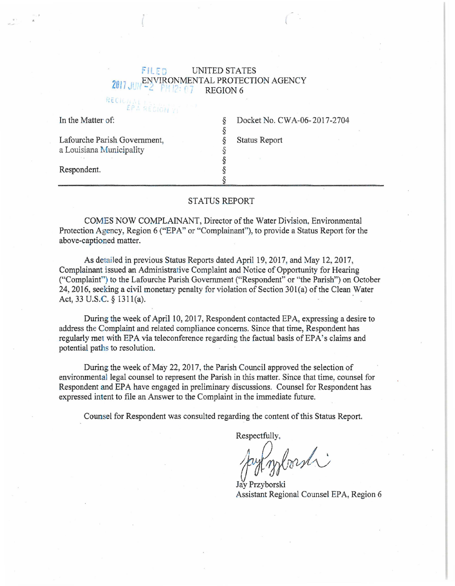## FILED UNITED STATES  $2017$ 1 ENVIRONMENTAL PROTECTION AGENCY REGION 6

In the Matter of:

•

§ Docket No. CWA-06-2017-2704

Lafourche Parish Government, a Louisiana Municipality

RECH

Respondent.

§ Status Report

## STATUS REPORT

§

*§*  § *§*  §

COMES NOW COMPLAINANT, Director of the Water Division, Environmental Protection Agency, Region 6 ("EPA" or "Complainant"), to provide a Status Report for the above-captioned matter.

As detailed in previous Status Reports dated April 19, 2017, and May 12, 2017, Complainant issued an Administrative Complaint and Notice of Opportunity for Hearing ("Complaint") to the Lafourche Parish Government ("Respondent" or "the Parish") on October 24, 2016, seeking a civil monetary penalty for violation of Section 30l(a) of the Clean Water Act, 33 U.S.C. § 1311(a).

During the week of April 10, 2017, Respondent contacted EPA, expressing a desire to address the Complaint and related compliance concerns. Since that time, Respondent has regularly met with EPA via teleconference regarding the factual basis of EPA's claims and potential paths to resolution.

During the week of May 22, 2017, the Parish Council approved the selection of environmental legal counsel to represent the Parish in this matter. Since that time, counsel for Respondent and EPA have engaged in preliminary discussions. Counsel for Respondent has expressed intent to file an Answer to the Complaint in the immediate future.

Counsel for Respondent was consulted regarding the content of this Status Report.

Respectfully,

Kylosh:

Jay Przyborski Assistant Regional Counsel EPA, Region 6